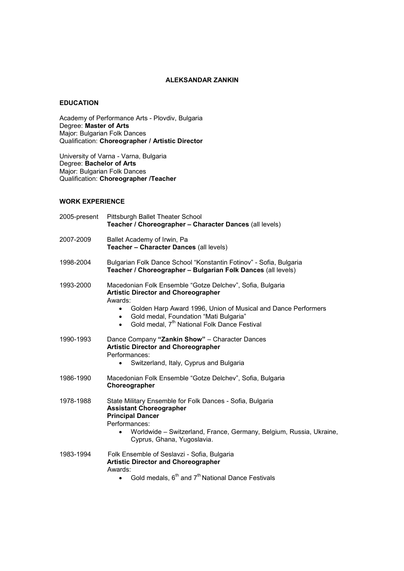### **ALEKSANDAR ZANKIN**

### **EDUCATION**

Academy of Performance Arts - Plovdiv, Bulgaria Degree: **Master of Arts**  Major: Bulgarian Folk Dances Qualification: **Choreographer / Artistic Director**

University of Varna - Varna, Bulgaria Degree: **Bachelor of Arts**  Major: Bulgarian Folk Dances Qualification: **Choreographer /Teacher** 

# **WORK EXPERIENCE**

| 2005-present | Pittsburgh Ballet Theater School<br>Teacher / Choreographer - Character Dances (all levels)                                                                                                                                                                                                                                      |
|--------------|----------------------------------------------------------------------------------------------------------------------------------------------------------------------------------------------------------------------------------------------------------------------------------------------------------------------------------|
| 2007-2009    | Ballet Academy of Irwin, Pa<br>Teacher - Character Dances (all levels)                                                                                                                                                                                                                                                           |
| 1998-2004    | Bulgarian Folk Dance School "Konstantin Fotinov" - Sofia, Bulgaria<br>Teacher / Choreographer - Bulgarian Folk Dances (all levels)                                                                                                                                                                                               |
| 1993-2000    | Macedonian Folk Ensemble "Gotze Delchev", Sofia, Bulgaria<br><b>Artistic Director and Choreographer</b><br>Awards:<br>Golden Harp Award 1996, Union of Musical and Dance Performers<br>$\bullet$<br>Gold medal, Foundation "Mati Bulgaria"<br>$\bullet$<br>Gold medal, 7 <sup>th</sup> National Folk Dance Festival<br>$\bullet$ |
| 1990-1993    | Dance Company "Zankin Show" - Character Dances<br><b>Artistic Director and Choreographer</b><br>Performances:<br>Switzerland, Italy, Cyprus and Bulgaria                                                                                                                                                                         |
| 1986-1990    | Macedonian Folk Ensemble "Gotze Delchev", Sofia, Bulgaria<br>Choreographer                                                                                                                                                                                                                                                       |
| 1978-1988    | State Military Ensemble for Folk Dances - Sofia, Bulgaria<br><b>Assistant Choreographer</b><br><b>Principal Dancer</b><br>Performances:<br>Worldwide - Switzerland, France, Germany, Belgium, Russia, Ukraine,<br>$\bullet$<br>Cyprus, Ghana, Yugoslavia.                                                                        |
| 1983-1994    | Folk Ensemble of Seslavzi - Sofia, Bulgaria<br><b>Artistic Director and Choreographer</b><br>Awards:<br>Gold medals, 6 <sup>th</sup> and 7 <sup>th</sup> National Dance Festivals<br>$\bullet$                                                                                                                                   |